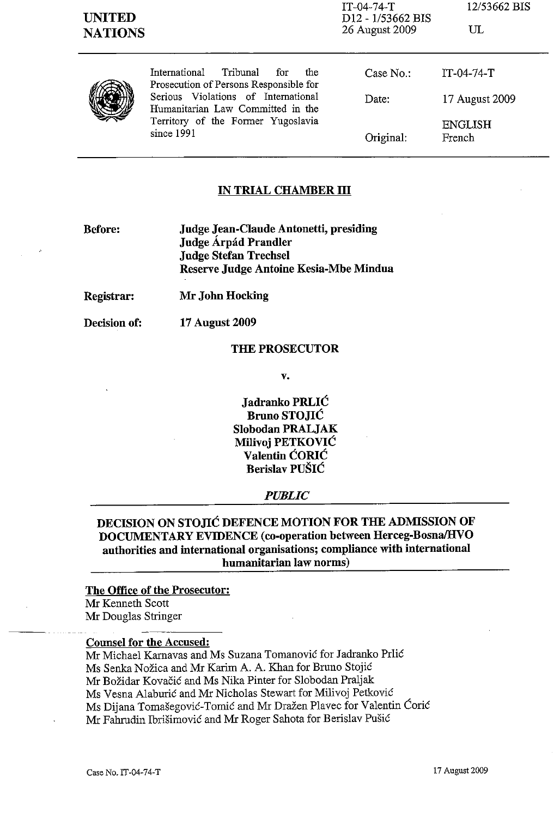| <b>UNITED</b><br><b>NATIONS</b> |                                                                                                                                                                                                                   | $IT-04-74-T$<br>D12 - 1/53662 BIS<br>26 August 2009 | 12/53662 BIS<br>$\mathrm{UL}$ |
|---------------------------------|-------------------------------------------------------------------------------------------------------------------------------------------------------------------------------------------------------------------|-----------------------------------------------------|-------------------------------|
|                                 | Tribunal<br>International<br>for<br>the<br>Prosecution of Persons Responsible for<br>Serious Violations of International<br>Humanitarian Law Committed in the<br>Territory of the Former Yugoslavia<br>since 1991 | Case No.                                            | $IT-04-74-T$                  |
|                                 |                                                                                                                                                                                                                   | Date:                                               | 17 August 2009                |
|                                 |                                                                                                                                                                                                                   | Original:                                           | ENGLISH<br>French             |

### IN TRIAL CHAMBER **III**

Before:

Judge Jean-Claude Antonetti, presiding Judge Árpád Prandler Judge Stefan Trechsel Reserve Judge Antoine Kesia-Mbe Mindua

Registrar: Mr John Hocking

Decision of:

17 August 2009

#### THE PROSECUTOR

v.

Jadranko PRLIC Bruno STOJIC Slobodan PRALJAK Milivoj PETKOVIC Valentin CORlC Berislav PUSIC

#### *PUBLIC*

DECISION ON STOJIC DEFENCE MOTION FOR THE ADMISSION OF DOCUMENTARY EVIDENCE (co-operation between Herceg-Bosna/HVO authorities and international organisations; compliance with international humanitarian law norms)

### The Office of the Prosecutor:

Mr Kenneth Scott Mr Douglas Stringer

Counsel for the Accused:

Mr Michael Karnavas and Ms Suzana Tomanović for Jadranko Prlić

Ms Senka Nozica and Mr Karim A. A. Khan for Bruno Stojic

Mr Bozidar Kovacic and Ms Nika Pinter for Slobodan Praljak

Ms Vesna Alaburic and Mr Nicholas Stewart for Milivoj Petkovic

Ms Dijana Tomašegović-Tomić and Mr Dražen Plavec for Valentin Ćorić

Mr Fahrudin Ibrišimović and Mr Roger Sahota for Berislav Pušić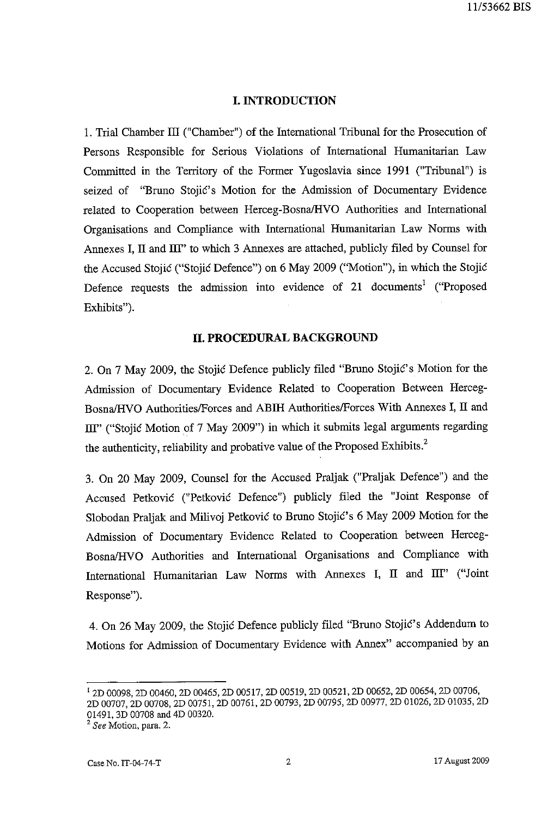## **I. INTRODUCTION**

1. Trial Chamber III ("Chamber") of the International Tribunal for the Prosecution of Persons Responsible for Serious Violations of International Humanitarian Law Committed in the Territory of the Former Yugoslavia since 1991 ("Tribunal") is seized of "Bruno Stojić's Motion for the Admission of Documentary Evidence related to Cooperation between Herceg-BosnaJHVO Authorities and International Organisations and Compliance with International Humanitarian Law Norms with Annexes I, II and III" to which 3 Annexes are attached, publicly filed by Counsel for the Accused Stojic ("Stojic Defence") on 6 May 2009 ("Motion"), in which the Stojic Defence requests the admission into evidence of 21 documents<sup>1</sup> ("Proposed Exhibits").

### **II. PROCEDURAL BACKGROUND**

2. On 7 May 2009, the Stojić Defence publicly filed "Bruno Stojić's Motion for the Admission of Documentary Evidence Related to Cooperation Between Herceg-Bosna/HVO Authorities/Forces and ABIH Authorities/Forces With Annexes I, II and III" ("Stojić Motion of 7 May 2009") in which it submits legal arguments regarding the authenticity, reliability and probative value of the Proposed Exhibits.<sup>2</sup>

3. On 20 May 2009, Counsel for the Accused Praljak: ("Praljak: Defence") and the Accused Petkovic C'Petkovic Defence") publicly filed the "Joint Response of Slobodan Praljak: and Milivoj Petkovic to Bruno Stojic's 6 May 2009 Motion for the Admission of Documentary Evidence Related to Cooperation between Herceg-Bosna/HVO Authorities and International Organisations and Compliance with International Humanitarian Law Norms with Annexes **I, II** and ill" ("Joint Response").

4. On 26 May 2009, the Stojic Defence publicly filed "Bruno Stojic's Addendum to Motions for Admission of Documentary Evidence with Annex" accompanied by an

<sup>1 2</sup>D 00098, 2D 00460, 2D 00465, 2D 00517, 2D 00519, 2D 00521, 2D 00652, 2D 00654, 2D 00706, 2D 00707, 2D 00708, 2D 00751, 2D 00761, 2D 00793, 2D 00795, 2D 00977, 2D 01026, 2D 01035, 2D 01491, 3D 00708 and 4D 00320.

<sup>&</sup>lt;sup>2</sup> See Motion, para. 2.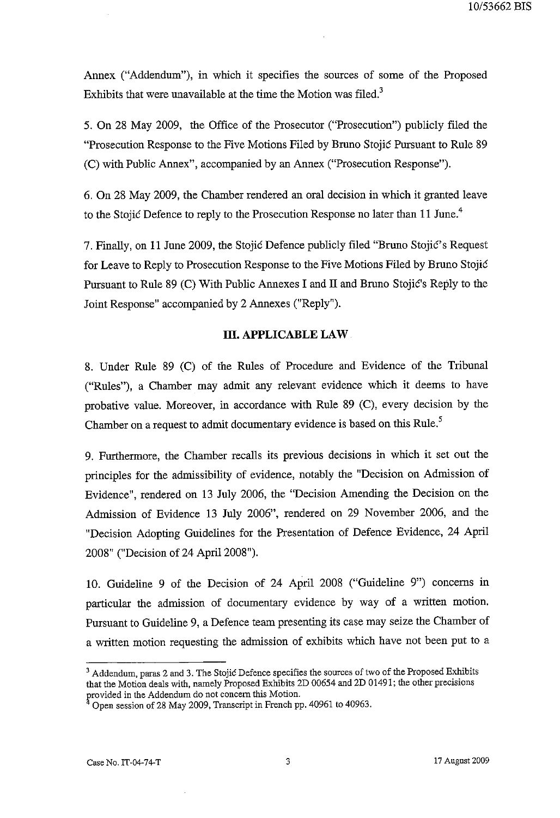Annex ("Addendum"), in which it specifies the sources of some of the Proposed Exhibits that were unavailable at the time the Motion was filed.<sup>3</sup>

5. On 28 May 2009, the Office of the Prosecutor ("Prosecution") publicly filed the "Prosecution Response to the Five Motions Filed by Bruno Stojić Pursuant to Rule 89 (C) with Public Annex", accompanied by an Annex ("Prosecution Response").

6. On 28 May 2009, the Chamber rendered an oral decision in which it granted leave to the Stojić Defence to reply to the Prosecution Response no later than 11 June.<sup>4</sup>

7. Finally, on 11 June 2009, the Stojic Defence publicly filed "Bruno StojiC's Request for Leave to Reply to Prosecution Response to the Five Motions Filed by Bruno Stojić Pursuant to Rule 89 (C) With Public Annexes I and II and Bruno Stojic's Reply to the Joint Response" accompanied by 2 Annexes ("Reply").

# **m. APPLICABLE LAW**

8. Under Rule 89 (C) of the Rules of Procedure and Evidence of the Tribunal ("Rules"), a Chamber may admit any relevant evidence which it deems to have probative value. Moreover, in accordance with Rule 89 (C), every decision by the Chamber on a request to admit documentary evidence is based on this Rule.<sup>5</sup>

9. Furthermore, the Chamber recalls its previous decisions in which it set out the principles for the admissibility of evidence, notably the "Decision on Admission of Evidence", rendered on 13 July 2006, the "Decision Amending the Decision on the Admission of Evidence 13 July 2006", rendered on 29 November 2006, and the "Decision Adopting Guidelines for the Presentation of Defence Evidence, 24 April 2008" ("Decision of 24 April 2008").

10. Guideline 9 of the Decision of 24 April 2008 ("Guideline 9") concerns in particular the admission of documentary evidence by way of a written motion. Pursuant to Guideline 9, a Defence team presenting its case may seize the Chamber of a written motion requesting the admission of exhibits which have not been put to a

<sup>&</sup>lt;sup>3</sup> Addendum, paras 2 and 3. The Stojić Defence specifies the sources of two of the Proposed Exhibits that the Motion deals with, namely Proposed Exhibits 2D 00654 and 2D 01491; the other precisions provided in the Addendum do not concern this Motion.

Open session of 28 May 2009, Transcript in French pp. 40961 to 40963.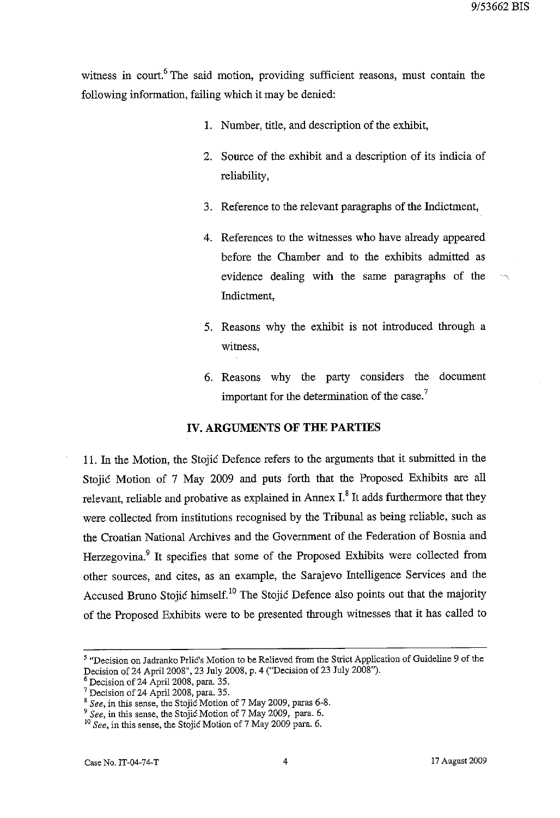witness in court.<sup>6</sup> The said motion, providing sufficient reasons, must contain the following information, failing which it may be denied:

- 1. Number, title, and description of the exhibit,
- 2. Source of the exhibit and a description of its indicia of reliability,
- 3. Reference to the relevant paragraphs of the Indictment,
- 4. References to the witnesses who have already appeared before the Chamber and to the exhibits admitted as evidence dealing with the same paragraphs of the Indictment,
- 5. Reasons why the exhibit is not introduced through a witness,
- 6. Reasons why the party considers the document important for the determination of the case.<sup>7</sup>

### **IV. ARGUMENTS OF THE PARTIES**

11. In the Motion, the Stojic Defence refers to the arguments that it submitted in the Stojic Motion of 7 May 2009 and puts forth that the Proposed Exhibits are all relevant, reliable and probative as explained in Annex I.<sup>8</sup> It adds furthermore that they were collected from institutions recognised by the Tribunal as being reliable, such as the Croatian National Archives and the Government of the Federation of Bosnia and Herzegovina.<sup>9</sup> It specifies that some of the Proposed Exhibits were collected from other sources, and cites, as an example, the Sarajevo Intelligence Services and the Accused Bruno Stojić himself.<sup>10</sup> The Stojić Defence also points out that the majority of the Proposed Exhibits were to be presented through witnesses that it has called to

<sup>5 &</sup>quot;Decision on Jadranko Prlic's Motion to be Relieved from the Strict Application of Guideline 9 of the Decision of 24 ApriI200S", 23 July 200S, p. 4 ("Decision of 23 July 200S").

<sup>6</sup> Decision of 24 Apri1200S, para. 35.

<sup>&</sup>lt;sup>7</sup> Decision of 24 April 2008, para. 35.

<sup>&</sup>lt;sup>8</sup> See, in this sense, the Stojic Motion of 7 May 2009, paras 6-8.

*<sup>9</sup> See,* in this sense, the Stojic Motion of 7 May 2009, para. 6.

<sup>10</sup>*See,* in this sense, the Stojic Motion of 7 May 2009 para. 6.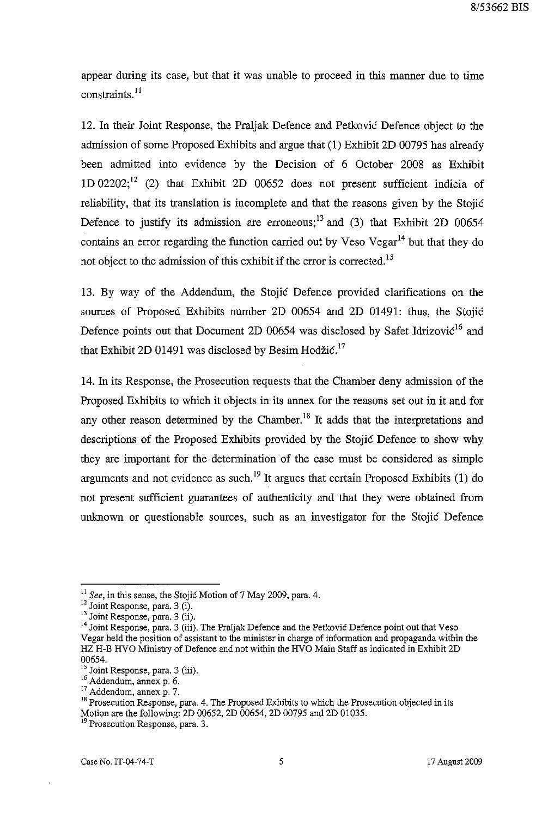appear during its case, but that it was unable to proceed in this manner due to time  $const$ raints. $^{11}$ 

12. In their Joint Response, the Praljak Defence and Petkovic Defence object to the admission of some Proposed Exhibits and argue that (1) Exhibit 2D 00795 has already been admitted into evidence by the Decision of 6 October 2008 as Exhibit 1D 02202;<sup>12</sup> (2) that Exhibit 2D 00652 does not present sufficient indicia of reliability, that its translation is incomplete and that the reasons given by the Stojic Defence to justify its admission are erroneous;<sup>13</sup> and (3) that Exhibit 2D 00654 contains an error regarding the function carried out by Veso Vegar<sup>14</sup> but that they do not object to the admission of this exhibit if the error is corrected.<sup>15</sup>

13. By way of the Addendum, the Stojic Defence provided clarifications on the sources of Proposed Exhibits number 2D 00654 and 2D 01491: thus, the Stojić Defence points out that Document 2D  $0.0654$  was disclosed by Safet Idrizovic<sup>16</sup> and that Exhibit 2D 01491 was disclosed by Besim Hodžić.<sup>17</sup>

14. In its Response, the Prosecution requests that the Chamber deny admission of the Proposed Exhibits to which it objects in its annex for the reasons set out in it and for any other reason determined by the Chamber.<sup>18</sup> It adds that the interpretations and descriptions of the Proposed Exhibits provided by the Stojic Defence to show why they are important for the determination of the case must be considered as simple arguments and not evidence as such.<sup>19</sup> It argues that certain Proposed Exhibits (1) do not present sufficient guarantees of authenticity and that they were obtained from unknown or questionable sources, such as an investigator for the Stojic Defence

<sup>11</sup>*See,* in this sense, the Stojic Motion of 7 May 2009, para. 4.

 $12$  Joint Response, para. 3 (i).

<sup>&</sup>lt;sup>13</sup> Joint Response, para. 3 (ii).

<sup>&</sup>lt;sup>14</sup> Joint Response, para. 3 (iii). The Praljak Defence and the Petković Defence point out that Veso Vegar held the position of assistant to the minister in charge of information and propaganda within the HZ H-B HVO Ministry of Defence and not within the HVO Main Staff as indicated in Exhibit 2D 00654.

<sup>&</sup>lt;sup>15</sup> Joint Response, para. 3 (iii).

 $^{16}$  Addendum, annex p. 6.

<sup>&</sup>lt;sup>17</sup> Addendum, annex p. 7.

<sup>&</sup>lt;sup>18</sup> Prosecution Response, para. 4. The Proposed Exhibits to which the Prosecution objected in its Motion are the following: 2D 00652, 2D 00654, 2D 00795 and 2D 01035.

**<sup>19</sup>Prosecution Response, para. 3.**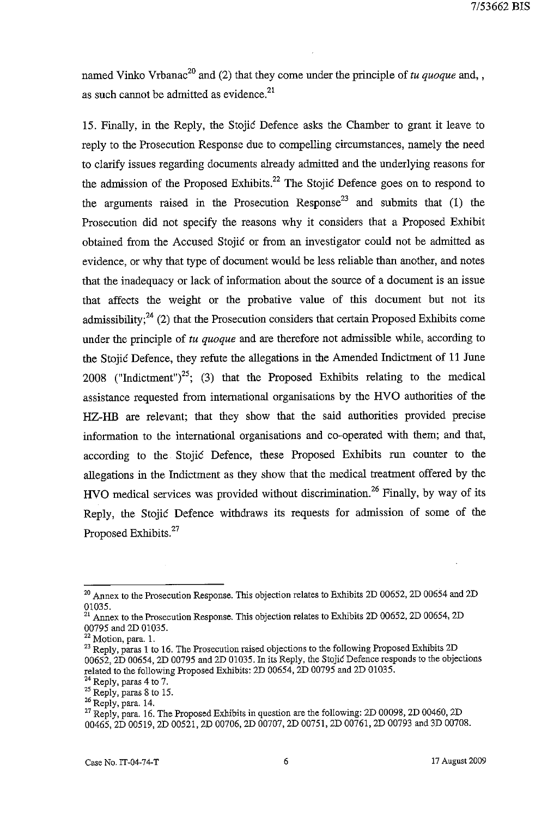named Vinko Vrbanac<sup>20</sup> and (2) that they come under the principle of *tu quoque* and, as such cannot be admitted as evidence. $21$ 

15. Finally, in the Reply, the Stojic Defence asks the Chamber to grant it leave to reply to the Prosecution Response due to compelling circumstances, namely the need to clarify issues regarding documents already admitted and the underlying reasons for the admission of the Proposed Exhibits.<sup>22</sup> The Stojic Defence goes on to respond to the arguments raised in the Prosecution Response<sup>23</sup> and submits that (1) the Prosecution did not specify the reasons why it considers that a Proposed Exhibit obtained from the Accused Stojic or from an investigator could not be admitted as evidence, or why that type of document would be less reliable than another, and notes that the inadequacy or lack of information about the source of a document is an issue that affects the weight or the probative value of this document but not its admissibility;<sup>24</sup> (2) that the Prosecution considers that certain Proposed Exhibits come under the principle of *tu quoque* and are therefore not admissible while, according to the Stojic Defence, they refute the allegations in the Amended Indictment of 11 June 2008 ("Indictment")<sup>25</sup>; (3) that the Proposed Exhibits relating to the medical assistance requested from international organisations by the HVO authorities of the HZ-HB are relevant; that they show that the said authorities provided precise information to the international organisations and co-operated with them; and that, according to the Stojic Defence, these Proposed Exhibits run counter to the allegations in the Indictment as they show that the medical treatment offered by the HVO medical services was provided without discrimination.<sup>26</sup> Finally, by way of its Reply, the Stojic Defence withdraws its requests for admission of some of the Proposed Exhibits.<sup>27</sup>

<sup>&</sup>lt;sup>20</sup> Annex to the Prosecution Response. This objection relates to Exhibits 2D 00652, 2D 00654 and 2D 01035.

 $\frac{21}{21}$  Annex to the Prosecution Response. This objection relates to Exhibits 2D 00652, 2D 00654, 2D 00795 and 2D 01035.

 $22$  Motion, para. 1.

<sup>&</sup>lt;sup>23</sup> Reply, paras 1 to 16. The Prosecution raised objections to the following Proposed Exhibits 2D 00652, 2D 00654, 2D 00795 and 2D 01035. In its Reply, the Stojic Defence responds to the objections related to the following Proposed Exhibits: 2D 00654, 2D 00795 and 2D 01035.

 $^{24}$  Reply, paras 4 to 7.

 $25$  Reply, paras 8 to 15.

<sup>26</sup> Reply, para. 14.

<sup>&</sup>lt;sup>27</sup> Reply, para. 16. The Proposed Exhibits in question are the following: 2D 00098, 2D 00460, 2D 00465, 2D 00519, 2D 00521, 2D 00706, 2D 00707, 2D 00751, 2D 00761, 2D 00793 and 3D 00708.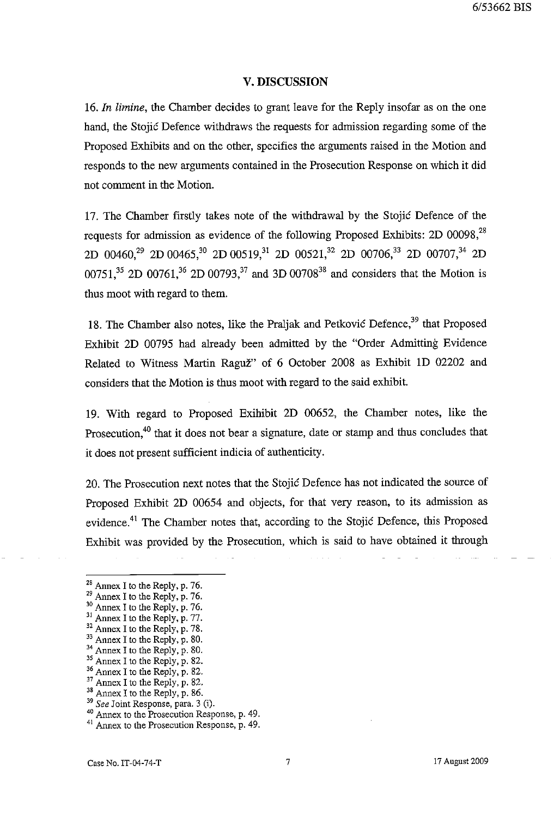#### **V. DISCUSSION**

*16. In limine,* the Chamber decides to grant leave for the Reply insofar as on the one hand, the Stojic Defence withdraws the requests for admission regarding some of the Proposed Exhibits and on the other, specifies the arguments raised in the Motion and responds to the new arguments contained in the Prosecution Response on which it did not comment in the Motion.

17. The Chamber firstly takes note of the withdrawal by the Stojic Defence of the requests for admission as evidence of the following Proposed Exhibits: 2D 00098,<sup>28</sup> 2D 00460,<sup>29</sup> 2D 00465,<sup>30</sup> 2D 00519,<sup>31</sup> 2D 00521,<sup>32</sup> 2D 00706,<sup>33</sup> 2D 00707,<sup>34</sup> 2D 00751,<sup>35</sup> 2D 00761,<sup>36</sup> 2D 00793,<sup>37</sup> and 3D 00708<sup>38</sup> and considers that the Motion is thus moot with regard to them.

18. The Chamber also notes, like the Praljak and Petković Defence,<sup>39</sup> that Proposed Exhibit 2D 00795 had already been admitted by the "Order Admitting Evidence Related to Witness Martin Raguz" of 6 October 2008 as Exhibit ID 02202 and considers that the Motion is thus moot with regard to the said exhibit.

19. With regard to Proposed Exihibit 2D 00652, the Chamber notes, like the Prosecution,<sup>40</sup> that it does not bear a signature, date or stamp and thus concludes that it does not present sufficient indicia of authenticity.

20. The Prosecution next notes that the Stojic Defence has not indicated the source of Proposed Exhibit 2D 00654 and objects, for that very reason, to its admission as evidence.<sup>41</sup> The Chamber notes that, according to the Stojić Defence, this Proposed Exhibit was provided by the Prosecution, which is said to have obtained it through

- <sup>28</sup> Annex I to the Reply, p. 76.
- $29$  Annex I to the Reply, p. 76.

<sup>39</sup>*See* Joint Response, para. 3 (i).

<sup>&</sup>lt;sup>30</sup> Annex I to the Reply, p. 76.

 $\frac{31}{24}$  Annex I to the Reply, p. 77.

 $32$  Annex I to the Reply, p. 78.

Annex I to the Reply, p. 80.

Annex I to the Reply, p. 80.

 $35$  Annex I to the Reply, p. 82.

<sup>36</sup> Annex I to the Reply, p. 82.

 $37$  Annex I to the Reply, p. 82.

 $38$  Annex I to the Reply, p. 86.

<sup>40</sup> Annex to the Prosecution Response, p. 49.

Annex to the Prosecution Response, p. 49.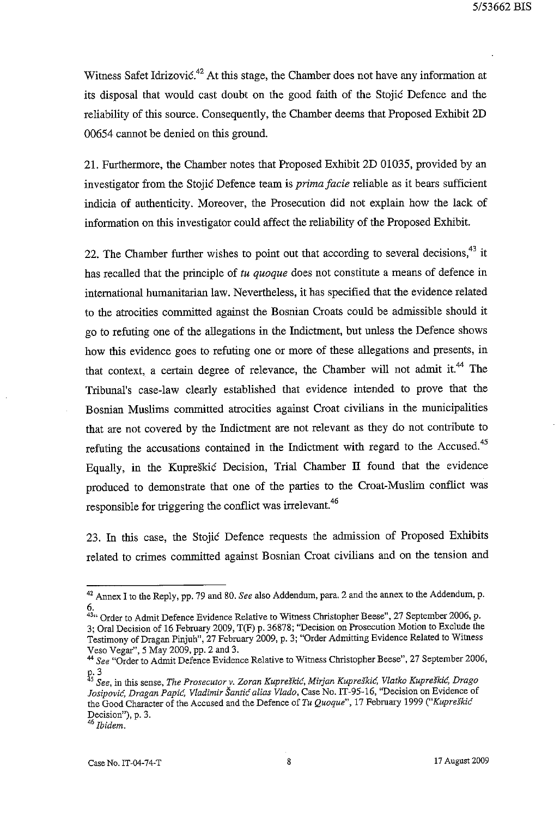Witness Safet Idrizović.<sup>42</sup> At this stage, the Chamber does not have any information at its disposal that would cast doubt on the good faith of the Stojic Defence and the reliability of this source. Consequently, the Chamber deems that Proposed Exhibit 2D 00654 cannot be denied on this ground.

21. Furthermore, the Chamber notes that Proposed Exhibit 2D 01035, provided by an investigator from the Stojic Defence team is *prima facie* reliable as it bears sufficient indicia of authenticity. Moreover, the Prosecution did not explain how the lack of information on this investigator could affect the reliability of the Proposed Exhibit.

22. The Chamber further wishes to point out that according to several decisions,  $43$  it has recalled that the principle of *tu quoque* does not constitute a means of defence in international humanitarian law. Nevertheless, it has specified that the evidence related to the atrocities committed against the Bosnian Croats could be admissible should it go to refuting one of the allegations in the Indictment, but unless the Defence shows how this evidence goes to refuting one or more of these allegations and presents, in that context, a certain degree of relevance, the Chamber will not admit it.<sup>44</sup> The Tribunal's case-law clearly established that evidence intended to prove that the Bosnian Muslims committed atrocities against Croat civilians in the municipalities that are not covered by the Indictment are not relevant as they do not contribute to refuting the accusations contained in the Indictment with regard to the Accused.<sup>45</sup> Equally, in the Kupreskic Decision, Trial Chamber IT fonnd that the evidence produced to demonstrate that one of the parties to the Croat-Muslim conflict was responsible for triggering the conflict was irrelevant.<sup>46</sup>

23. In this case, the Stojic Defence requests the admission of Proposed Exhibits related to crimes committed against Bosnian Croat civilians and on the tension and

<sup>42</sup> Annex I to the Reply, pp. 79 and 80. *See* also Addendum, para. 2 and the annex to the Addendum, p. 6.

<sup>43&</sup>quot; Order to *Admit* Defence Evidence Relative to Witness Christopher Beese", 27 September 2006, p. 3; Oral Decision of 16 February 2009, T(F) p. 36878; "Decision on Prosecution Motion to Exclude the Testimony of Dragan Pinjuh", 27 February 2009, p. 3; "Order Admitting Evidence Related to Witness Veso Vegar", 5 May 2009, pp. 2 and 3.

*<sup>44</sup> See* "Order to *Admit* Defence Evidence Relative to Witness Christopher Beese", 27 September 2006,

<sup>£.3</sup>  *5 See,* **in this sense,** *The Prosecutor v. Zoran Kupreskic, Mirjan Kupreskic, Vlatko Kupreskic, Drago Josipovic, Dragan Papic, Vladimir Santie alias Vlado,* Case No. IT-95-16, ''Decision on Evidence of the Good Character of the Accused and the Defence of *Tu Quoque",* 17 February 1999 *("Kupreskie*  **Decision"), p. 3.** 

<sup>46</sup>*Ibidem.*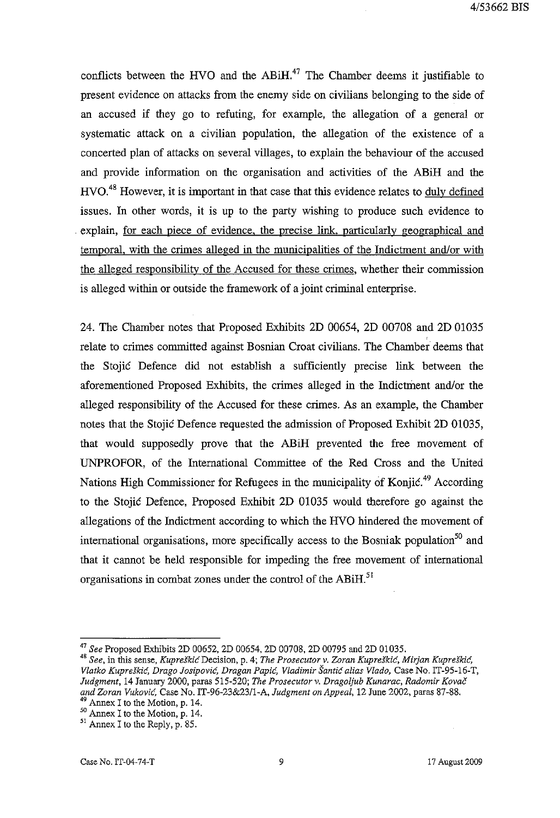4/53662 BIS

conflicts between the HVO and the  $ABiH<sup>47</sup>$ . The Chamber deems it justifiable to present evidence on attacks from the enemy side on civilians belonging to the side of an accused if they go to refuting, for example, the allegation of a general or systematic attack on a civilian population, the allegation of the existence of a concerted plan of attacks on several villages, to explain the behaviour of the accused and provide information on the organisation and activities of the ABiH and the HVO.<sup>48</sup> However, it is important in that case that this evidence relates to duly defined issues. In other words, it is up to the party wishing to produce such evidence to explain, for each piece of evidence, the precise link, particularly geographical and temporal, with the crimes alleged in the municipalities of the Indictment and/or with the alleged responsibility of the Accused for these crimes, whether their commission is alleged within or outside the framework of a joint criminal enterprise.

24. The Chamber notes that Proposed Exhibits 2D 00654, 2D 00708 and 2D 01035 relate to crimes committed against Bosnian Croat civilians. The Chamber deems that the Stojic Defence did not establish a sufficiently precise link between the aforementioned Proposed Exhibits, the crimes alleged in the Indictment and/or the alleged responsibility of the Accused for these crimes. As an example, the Chamber notes that the Stojic Defence requested the admission of Proposed Exhibit 2D 01035, that would supposedly prove that the ABiH prevented the free movement of UNPROFOR, of the International Committee of the Red Cross and the United Nations High Commissioner for Refugees in the municipality of Konjic.<sup>49</sup> According to the Stojic Defence, Proposed Exhibit 2D 01035 would therefore go against the allegations of the Indictment according to which the HVO hindered the movement of international organisations, more specifically access to the Bosniak population<sup>50</sup> and that it cannot be held responsible for impeding the free movement of international organisations in combat zones under the control of the ABiH. $^{51}$ 

<sup>47</sup>*See* Proposed Exhibits 2D 00652, 2D 00654, 2D 00708, 2D 00795 and 2D 01035.

*<sup>48</sup> See,* **in this sense,** *Kupreskic* **Decision, p. 4;** *The Prosecutor* **v.** *Zoran Kupreskic, Mirjan Kupreskic, Vlatko Kuprdkic, Drago Josipovic, Dragan Papic, Vladimir Santic alias Vlado,* Case No. IT-95-16-T, *Judgment,* 14 January 2000, paras 515-520; *The Prosecutor* v. *Dragoljub Kunarac, Radomir Kovac and Zoran Vukovic,* Case No. IT -96-23&2311-A, *Judgment on Appeal,* 12 June 2002, paras 87-88.

<sup>&</sup>lt;sup>49</sup> Annex I to the Motion, p. 14.

 $50$  Annex I to the Motion, p. 14.

<sup>51</sup> Annex I to the Reply, p. 85.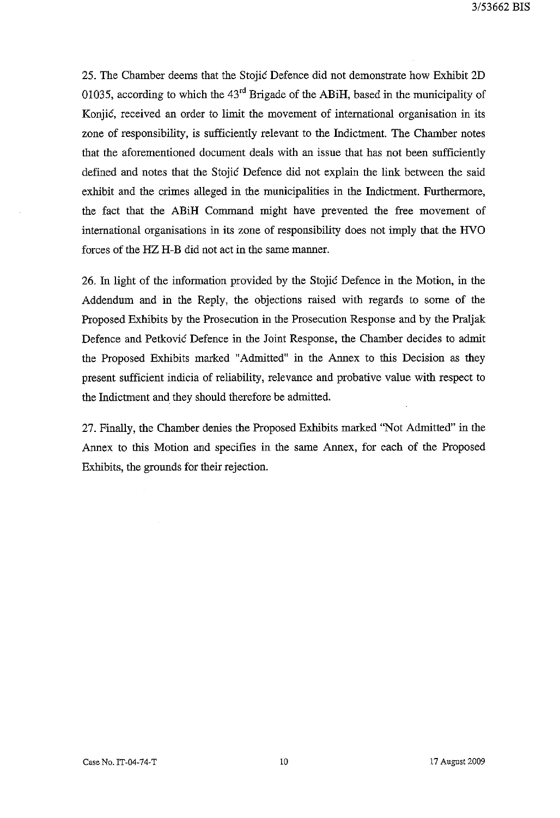25. The Chamber deems that the Stojic Defence did not demonstrate how Exhibit 2D 01035, according to which the 43rd Brigade of the ABiH, based in the municipality of Konjic, received an order to limit the movement of international organisation in its zone of responsibility, is sufficiently relevant to the Indictment. The Chamber notes that the aforementioned document deals with an issue that has not been sufficiently defined and notes that the Stojic Defence did not explain the link between the said exhibit and the crimes alleged in the municipalities in the Indictment. Furthermore, the fact that the ABiH Command might have prevented the free movement of international organisations in its zone of responsibility does not imply that the HVO forces of the HZ H-B did not act in the same manner.

26. In light of the information provided by the Stojic Defence in the Motion, in the Addendum and in the Reply, the objections raised with regards to some of the Proposed Exhibits by the Prosecution in the Prosecution Response and by the Praljak Defence and Petkovic Defence in the Joint Response, the Chamber decides to admit the Proposed Exhibits marked "Admitted" in the Annex to this Decision as they present sufficient indicia of reliability, relevance and probative value with respect to the Indictment and they should therefore be admitted.

27. Finally, the Chamber denies the Proposed Exhibits marked "Not Admitted" in the Annex to this Motion and specifies in the same Annex, for each of the Proposed Exhibits, the grounds for their rejection.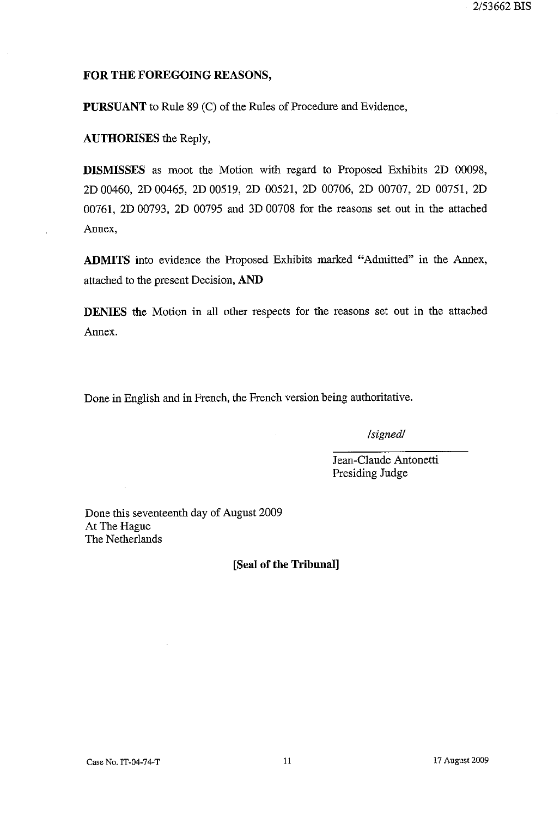## **FOR THE FOREGOING REASONS,**

**PURSUANT to Rule** 89 (C) of the Rules of Procedure and Evidence,

**AUTHORISES** the Reply,

**DISMISSES** as moot the Motion with regard to Proposed Exhibits 2D 00098, 2D 00460, 2D 00465, 2D 00519, 2D 00521, 2D 00706, 2D 00707, 2D 00751, 2D 00761, 2D 00793, 2D 00795 and 3D 00708 for the reasons set out in the attached Annex,

**ADMITS** into evidence the Proposed Exhibits marked "Admitted" in the Annex, attached to the present Decision, **AND** 

**DENIES** the Motion in all other respects for the reasons set out in the attached Annex.

Done in English and in French, the French version being authoritative.

*Isignedl* 

Jean-Claude Antonetti Presiding Judge

Done this seventeenth day of August 2009 At The Hague The Netherlands

**[Seal of the Tribunal]** 

 $\bar{z}$